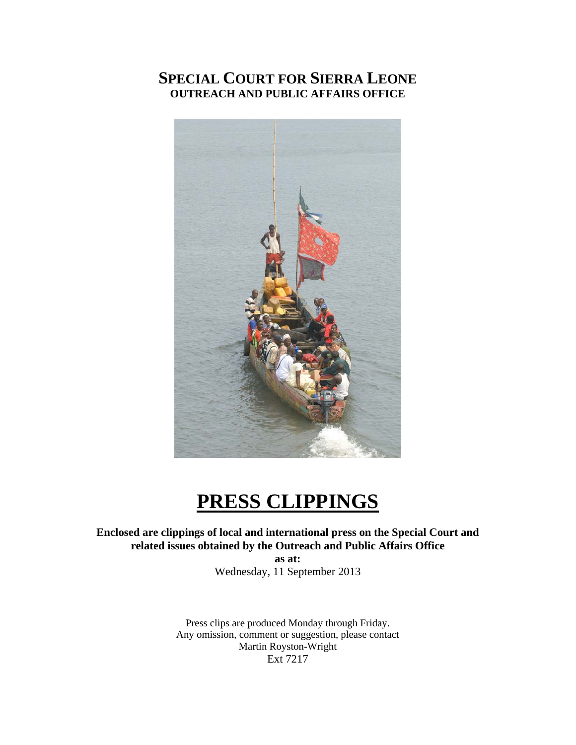# **SPECIAL COURT FOR SIERRA LEONE OUTREACH AND PUBLIC AFFAIRS OFFICE**



# **PRESS CLIPPINGS**

## **Enclosed are clippings of local and international press on the Special Court and related issues obtained by the Outreach and Public Affairs Office**

**as at:**  Wednesday, 11 September 2013

Press clips are produced Monday through Friday. Any omission, comment or suggestion, please contact Martin Royston-Wright Ext 7217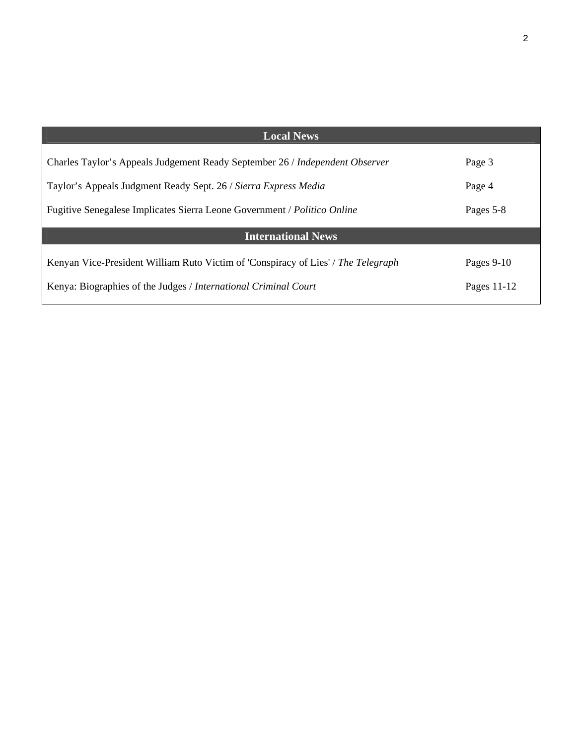| <b>Local News</b>                                                                 |             |
|-----------------------------------------------------------------------------------|-------------|
|                                                                                   |             |
| Charles Taylor's Appeals Judgement Ready September 26 / Independent Observer      | Page 3      |
|                                                                                   |             |
| Taylor's Appeals Judgment Ready Sept. 26 / Sierra Express Media                   | Page 4      |
| Fugitive Senegalese Implicates Sierra Leone Government / Politico Online          | Pages 5-8   |
|                                                                                   |             |
| <b>International News</b>                                                         |             |
|                                                                                   |             |
| Kenyan Vice-President William Ruto Victim of 'Conspiracy of Lies' / The Telegraph | Pages 9-10  |
|                                                                                   |             |
| Kenya: Biographies of the Judges / International Criminal Court                   | Pages 11-12 |
|                                                                                   |             |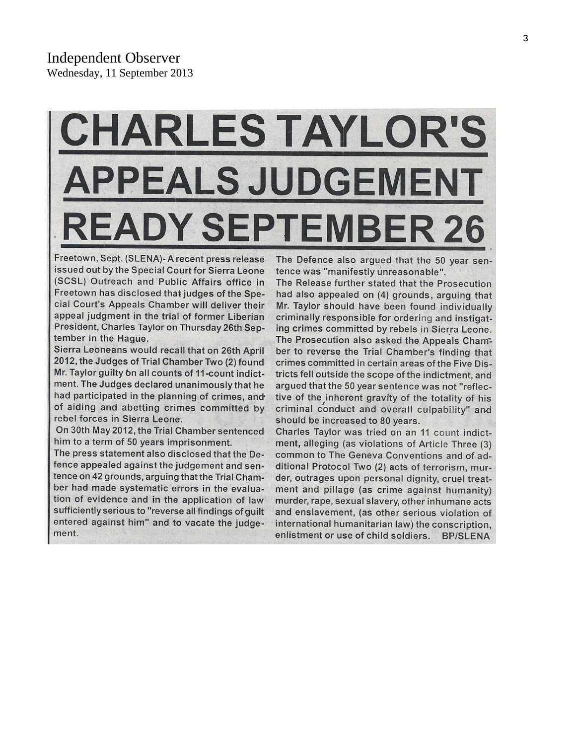# **HARLES TAYLOR'S PEALS JUDGEN** DY SEPT **TEMBER 26**

Freetown, Sept. (SLENA)- A recent press release issued out by the Special Court for Sierra Leone (SCSL) Outreach and Public Affairs office in Freetown has disclosed that judges of the Special Court's Appeals Chamber will deliver their appeal judgment in the trial of former Liberian President, Charles Taylor on Thursday 26th September in the Hague.

Sierra Leoneans would recall that on 26th April 2012, the Judges of Trial Chamber Two (2) found Mr. Taylor guilty on all counts of 11-count indictment. The Judges declared unanimously that he had participated in the planning of crimes, and of aiding and abetting crimes committed by rebel forces in Sierra Leone.

On 30th May 2012, the Trial Chamber sentenced him to a term of 50 years imprisonment.

The press statement also disclosed that the Defence appealed against the judgement and sentence on 42 grounds, arguing that the Trial Chamber had made systematic errors in the evaluation of evidence and in the application of law sufficiently serious to "reverse all findings of guilt entered against him" and to vacate the judgement.

The Defence also argued that the 50 year sentence was "manifestly unreasonable".

The Release further stated that the Prosecution had also appealed on (4) grounds, arguing that Mr. Taylor should have been found individually criminally responsible for ordering and instigating crimes committed by rebels in Sierra Leone. The Prosecution also asked the Appeals Chamber to reverse the Trial Chamber's finding that crimes committed in certain areas of the Five Districts fell outside the scope of the indictment, and argued that the 50 year sentence was not "reflective of the inherent gravity of the totality of his criminal conduct and overall culpability" and should be increased to 80 years.

Charles Taylor was tried on an 11 count indictment, alleging (as violations of Article Three (3) common to The Geneva Conventions and of additional Protocol Two (2) acts of terrorism, murder, outrages upon personal dignity, cruel treatment and pillage (as crime against humanity) murder, rape, sexual slavery, other inhumane acts and enslavement, (as other serious violation of international humanitarian law) the conscription, enlistment or use of child soldiers. **BP/SLENA**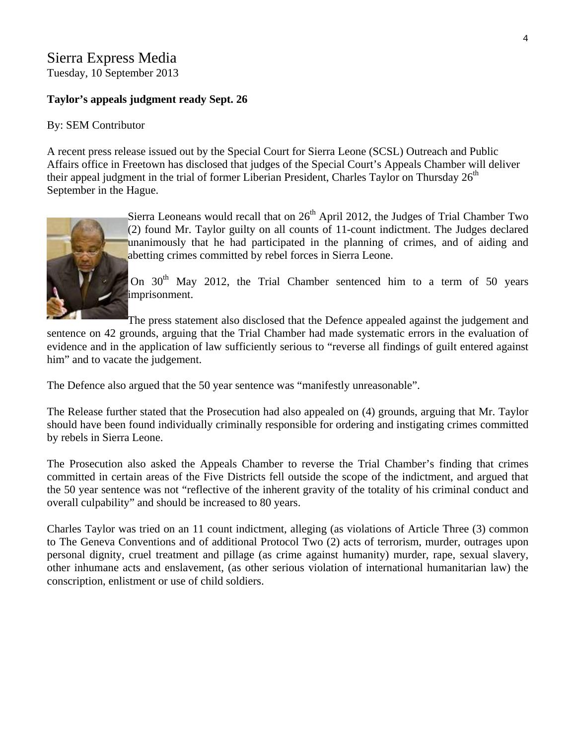# Sierra Express Media

Tuesday, 10 September 2013

## **Taylor's appeals judgment ready Sept. 26**

### By: [SEM Contributor](http://www.sierraexpressmedia.com/archives/author/sem-contributor)

A recent press release issued out by the Special Court for Sierra Leone (SCSL) Outreach and Public Affairs office in Freetown has disclosed that judges of the Special Court's Appeals Chamber will deliver their appeal judgment in the trial of former Liberian President, Charles Taylor on Thursday  $26<sup>th</sup>$ September in the Hague.



Sierra Leoneans would recall that on  $26<sup>th</sup>$  April 2012, the Judges of Trial Chamber Two (2) found Mr. Taylor guilty on all counts of 11-count indictment. The Judges declared unanimously that he had participated in the planning of crimes, and of aiding and abetting crimes committed by rebel forces in Sierra Leone.

On 30<sup>th</sup> May 2012, the Trial Chamber sentenced him to a term of 50 years imprisonment.

The press statement also disclosed that the Defence appealed against the judgement and

sentence on 42 grounds, arguing that the Trial Chamber had made systematic errors in the evaluation of evidence and in the application of law sufficiently serious to "reverse all findings of guilt entered against him" and to vacate the judgement.

The Defence also argued that the 50 year sentence was "manifestly unreasonable".

The Release further stated that the Prosecution had also appealed on (4) grounds, arguing that Mr. Taylor should have been found individually criminally responsible for ordering and instigating crimes committed by rebels in Sierra Leone.

The Prosecution also asked the Appeals Chamber to reverse the Trial Chamber's finding that crimes committed in certain areas of the Five Districts fell outside the scope of the indictment, and argued that the 50 year sentence was not "reflective of the inherent gravity of the totality of his criminal conduct and overall culpability" and should be increased to 80 years.

Charles Taylor was tried on an 11 count indictment, alleging (as violations of Article Three (3) common to The Geneva Conventions and of additional Protocol Two (2) acts of terrorism, murder, outrages upon personal dignity, cruel treatment and pillage (as crime against humanity) murder, rape, sexual slavery, other inhumane acts and enslavement, (as other serious violation of international humanitarian law) the conscription, enlistment or use of child soldiers.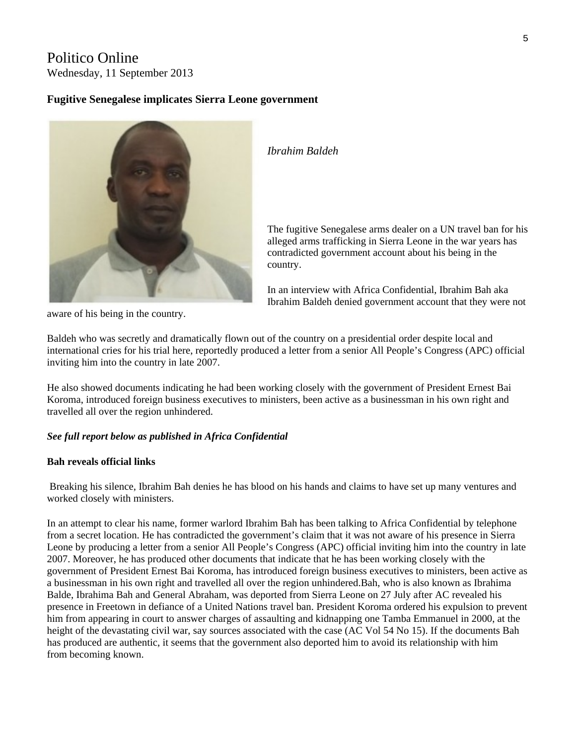# Politico Online

Wednesday, 11 September 2013

#### **Fugitive Senegalese implicates Sierra Leone government**



*Ibrahim Baldeh* 

The fugitive Senegalese arms dealer on a UN travel ban for h is alleged arms trafficking in Sierra Leone in the war years has contradicted government account about his being in the country.

In an interview with Africa Confidential, Ibrahim Bah aka Ibrahim Baldeh denied government account that they were not

aware of his being in the country.

Baldeh who was secretly and dramatically flown out of the country on a presidential order despite local and international cries for his trial here, reportedly produced a letter from a senior All People's Congress (APC) official inviting him into the country in late 2007.

He also showed documents indicating he had been working closely with the government of President Ernest Bai Koroma, introduced foreign business executives to ministers, been active as a businessman in his own right and travelled all over the region unhindered.

#### *See full report below as published in Africa Confidential*

#### **Bah reveals official links**

 Breaking his silence, Ibrahim Bah denies he has blood on his hands and claims to have set up many ventures and worked closely with ministers.

In an attempt to clear his name, former warlord Ibrahim Bah has been talking to Africa Confidential by telephone from a secret location. He has contradicted the government's claim that it was not aware of his presence in Sierra Leone by producing a letter from a senior All People's Congress (APC) official inviting him into the country in late 2007. Moreover, he has produced other documents that indicate that he has been working closely with the government of President Ernest Bai Koroma, has introduced foreign business executives to ministers, been active as a businessman in his own right and travelled all over the region unhindered.Bah, who is also known as Ibrahima Balde, Ibrahima Bah and General Abraham, was deported from Sierra Leone on 27 July after AC revealed his presence in Freetown in defiance of a United Nations travel ban. President Koroma ordered his expulsion to prevent him from appearing in court to answer charges of assaulting and kidnapping one Tamba Emmanuel in 2000, at the height of the devastating civil war, say sources associated with the case (AC Vol 54 No 15). If the documents Bah has produced are authentic, it seems that the government also deported him to avoid its relationship with him from becoming known.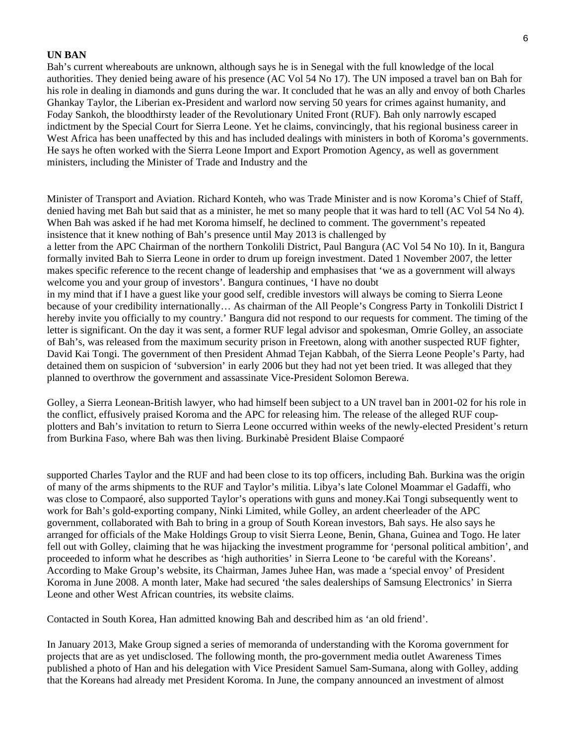#### **UN BAN**

Bah's current whereabouts are unknown, although says he is in Senegal with the full knowledge of the local authorities. They denied being aware of his presence (AC Vol 54 No 17). The UN imposed a travel ban on Bah for his role in dealing in diamonds and guns during the war. It concluded that he was an ally and envoy of both Charles Ghankay Taylor, the Liberian ex-President and warlord now serving 50 years for crimes against humanity, and Foday Sankoh, the bloodthirsty leader of the Revolutionary United Front (RUF). Bah only narrowly escaped indictment by the Special Court for Sierra Leone. Yet he claims, convincingly, that his regional business career in West Africa has been unaffected by this and has included dealings with ministers in both of Koroma's governments. He says he often worked with the Sierra Leone Import and Export Promotion Agency, as well as government ministers, including the Minister of Trade and Industry and the

Minister of Transport and Aviation. Richard Konteh, who was Trade Minister and is now Koroma's Chief of Staff, denied having met Bah but said that as a minister, he met so many people that it was hard to tell (AC Vol 54 No 4). When Bah was asked if he had met Koroma himself, he declined to comment. The government's repeated insistence that it knew nothing of Bah's presence until May 2013 is challenged by a letter from the APC Chairman of the northern Tonkolili District, Paul Bangura (AC Vol 54 No 10). In it, Bangura formally invited Bah to Sierra Leone in order to drum up foreign investment. Dated 1 November 2007, the letter makes specific reference to the recent change of leadership and emphasises that 'we as a government will always welcome you and your group of investors'. Bangura continues, 'I have no doubt in my mind that if I have a guest like your good self, credible investors will always be coming to Sierra Leone because of your credibility internationally… As chairman of the All People's Congress Party in Tonkolili District I hereby invite you officially to my country.' Bangura did not respond to our requests for comment. The timing of the letter is significant. On the day it was sent, a former RUF legal advisor and spokesman, Omrie Golley, an associate of Bah's, was released from the maximum security prison in Freetown, along with another suspected RUF fighter, David Kai Tongi. The government of then President Ahmad Tejan Kabbah, of the Sierra Leone People's Party, had detained them on suspicion of 'subversion' in early 2006 but they had not yet been tried. It was alleged that they planned to overthrow the government and assassinate Vice-President Solomon Berewa.

Golley, a Sierra Leonean-British lawyer, who had himself been subject to a UN travel ban in 2001-02 for his role in the conflict, effusively praised Koroma and the APC for releasing him. The release of the alleged RUF coupplotters and Bah's invitation to return to Sierra Leone occurred within weeks of the newly-elected President's return from Burkina Faso, where Bah was then living. Burkinabè President Blaise Compaoré

supported Charles Taylor and the RUF and had been close to its top officers, including Bah. Burkina was the origin of many of the arms shipments to the RUF and Taylor's militia. Libya's late Colonel Moammar el Gadaffi, who was close to Compaoré, also supported Taylor's operations with guns and money.Kai Tongi subsequently went to work for Bah's gold-exporting company, Ninki Limited, while Golley, an ardent cheerleader of the APC government, collaborated with Bah to bring in a group of South Korean investors, Bah says. He also says he arranged for officials of the Make Holdings Group to visit Sierra Leone, Benin, Ghana, Guinea and Togo. He later fell out with Golley, claiming that he was hijacking the investment programme for 'personal political ambition', and proceeded to inform what he describes as 'high authorities' in Sierra Leone to 'be careful with the Koreans'. According to Make Group's website, its Chairman, James Juhee Han, was made a 'special envoy' of President Koroma in June 2008. A month later, Make had secured 'the sales dealerships of Samsung Electronics' in Sierra Leone and other West African countries, its website claims.

Contacted in South Korea, Han admitted knowing Bah and described him as 'an old friend'.

In January 2013, Make Group signed a series of memoranda of understanding with the Koroma government for projects that are as yet undisclosed. The following month, the pro-government media outlet Awareness Times published a photo of Han and his delegation with Vice President Samuel Sam-Sumana, along with Golley, adding that the Koreans had already met President Koroma. In June, the company announced an investment of almost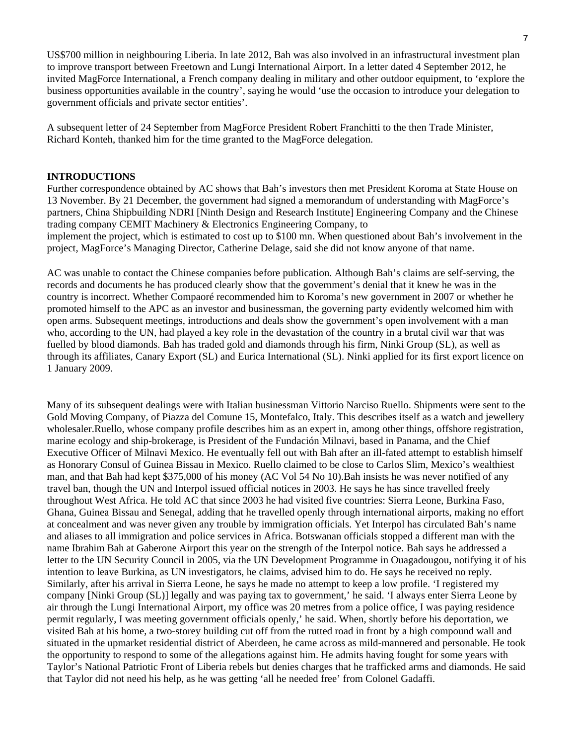US\$700 million in neighbouring Liberia. In late 2012, Bah was also involved in an infrastructural investment plan to improve transport between Freetown and Lungi International Airport. In a letter dated 4 September 2012, he invited MagForce International, a French company dealing in military and other outdoor equipment, to 'explore the business opportunities available in the country', saying he would 'use the occasion to introduce your delegation to government officials and private sector entities'.

A subsequent letter of 24 September from MagForce President Robert Franchitti to the then Trade Minister, Richard Konteh, thanked him for the time granted to the MagForce delegation.

#### **INTRODUCTIONS**

Further correspondence obtained by AC shows that Bah's investors then met President Koroma at State House on 13 November. By 21 December, the government had signed a memorandum of understanding with MagForce's partners, China Shipbuilding NDRI [Ninth Design and Research Institute] Engineering Company and the Chinese trading company CEMIT Machinery & Electronics Engineering Company, to implement the project, which is estimated to cost up to \$100 mn. When questioned about Bah's involvement in the project, MagForce's Managing Director, Catherine Delage, said she did not know anyone of that name.

AC was unable to contact the Chinese companies before publication. Although Bah's claims are self-serving, the records and documents he has produced clearly show that the government's denial that it knew he was in the country is incorrect. Whether Compaoré recommended him to Koroma's new government in 2007 or whether he promoted himself to the APC as an investor and businessman, the governing party evidently welcomed him with open arms. Subsequent meetings, introductions and deals show the government's open involvement with a man who, according to the UN, had played a key role in the devastation of the country in a brutal civil war that was fuelled by blood diamonds. Bah has traded gold and diamonds through his firm, Ninki Group (SL), as well as through its affiliates, Canary Export (SL) and Eurica International (SL). Ninki applied for its first export licence on 1 January 2009.

Many of its subsequent dealings were with Italian businessman Vittorio Narciso Ruello. Shipments were sent to the Gold Moving Company, of Piazza del Comune 15, Montefalco, Italy. This describes itself as a watch and jewellery wholesaler.Ruello, whose company profile describes him as an expert in, among other things, offshore registration, marine ecology and ship-brokerage, is President of the Fundación Milnavi, based in Panama, and the Chief Executive Officer of Milnavi Mexico. He eventually fell out with Bah after an ill-fated attempt to establish himself as Honorary Consul of Guinea Bissau in Mexico. Ruello claimed to be close to Carlos Slim, Mexico's wealthiest man, and that Bah had kept \$375,000 of his money (AC Vol 54 No 10).Bah insists he was never notified of any travel ban, though the UN and Interpol issued official notices in 2003. He says he has since travelled freely throughout West Africa. He told AC that since 2003 he had visited five countries: Sierra Leone, Burkina Faso, Ghana, Guinea Bissau and Senegal, adding that he travelled openly through international airports, making no effort at concealment and was never given any trouble by immigration officials. Yet Interpol has circulated Bah's name and aliases to all immigration and police services in Africa. Botswanan officials stopped a different man with the name Ibrahim Bah at Gaberone Airport this year on the strength of the Interpol notice. Bah says he addressed a letter to the UN Security Council in 2005, via the UN Development Programme in Ouagadougou, notifying it of his intention to leave Burkina, as UN investigators, he claims, advised him to do. He says he received no reply. Similarly, after his arrival in Sierra Leone, he says he made no attempt to keep a low profile. 'I registered my company [Ninki Group (SL)] legally and was paying tax to government,' he said. 'I always enter Sierra Leone by air through the Lungi International Airport, my office was 20 metres from a police office, I was paying residence permit regularly, I was meeting government officials openly,' he said. When, shortly before his deportation, we visited Bah at his home, a two-storey building cut off from the rutted road in front by a high compound wall and situated in the upmarket residential district of Aberdeen, he came across as mild-mannered and personable. He took the opportunity to respond to some of the allegations against him. He admits having fought for some years with Taylor's National Patriotic Front of Liberia rebels but denies charges that he trafficked arms and diamonds. He said that Taylor did not need his help, as he was getting 'all he needed free' from Colonel Gadaffi.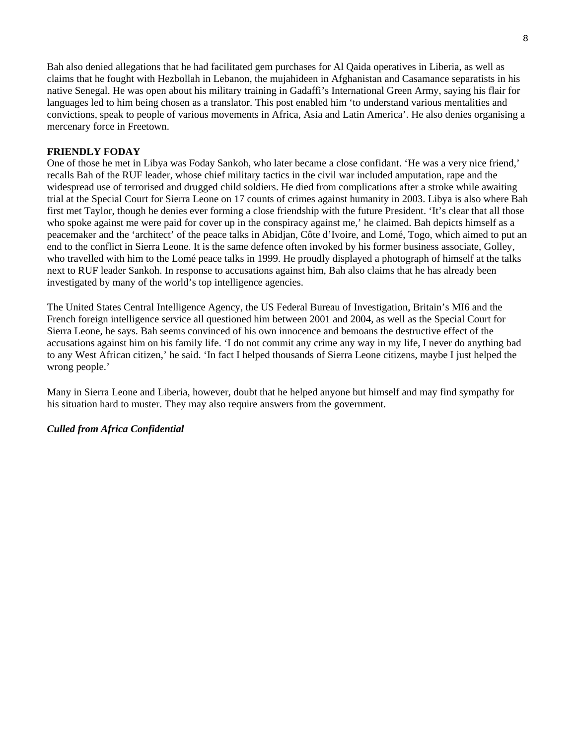Bah also denied allegations that he had facilitated gem purchases for Al Qaida operatives in Liberia, as well as claims that he fought with Hezbollah in Lebanon, the mujahideen in Afghanistan and Casamance separatists in his native Senegal. He was open about his military training in Gadaffi's International Green Army, saying his flair for languages led to him being chosen as a translator. This post enabled him 'to understand various mentalities and convictions, speak to people of various movements in Africa, Asia and Latin America'. He also denies organising a mercenary force in Freetown.

#### **FRIENDLY FODAY**

One of those he met in Libya was Foday Sankoh, who later became a close confidant. 'He was a very nice friend,' recalls Bah of the RUF leader, whose chief military tactics in the civil war included amputation, rape and the widespread use of terrorised and drugged child soldiers. He died from complications after a stroke while awaiting trial at the Special Court for Sierra Leone on 17 counts of crimes against humanity in 2003. Libya is also where Bah first met Taylor, though he denies ever forming a close friendship with the future President. 'It's clear that all those who spoke against me were paid for cover up in the conspiracy against me,' he claimed. Bah depicts himself as a peacemaker and the 'architect' of the peace talks in Abidjan, Côte d'Ivoire, and Lomé, Togo, which aimed to put an end to the conflict in Sierra Leone. It is the same defence often invoked by his former business associate, Golley, who travelled with him to the Lomé peace talks in 1999. He proudly displayed a photograph of himself at the talks next to RUF leader Sankoh. In response to accusations against him, Bah also claims that he has already been investigated by many of the world's top intelligence agencies.

The United States Central Intelligence Agency, the US Federal Bureau of Investigation, Britain's MI6 and the French foreign intelligence service all questioned him between 2001 and 2004, as well as the Special Court for Sierra Leone, he says. Bah seems convinced of his own innocence and bemoans the destructive effect of the accusations against him on his family life. 'I do not commit any crime any way in my life, I never do anything bad to any West African citizen,' he said. 'In fact I helped thousands of Sierra Leone citizens, maybe I just helped the wrong people.'

Many in Sierra Leone and Liberia, however, doubt that he helped anyone but himself and may find sympathy for his situation hard to muster. They may also require answers from the government.

#### *Culled from Africa Confidential*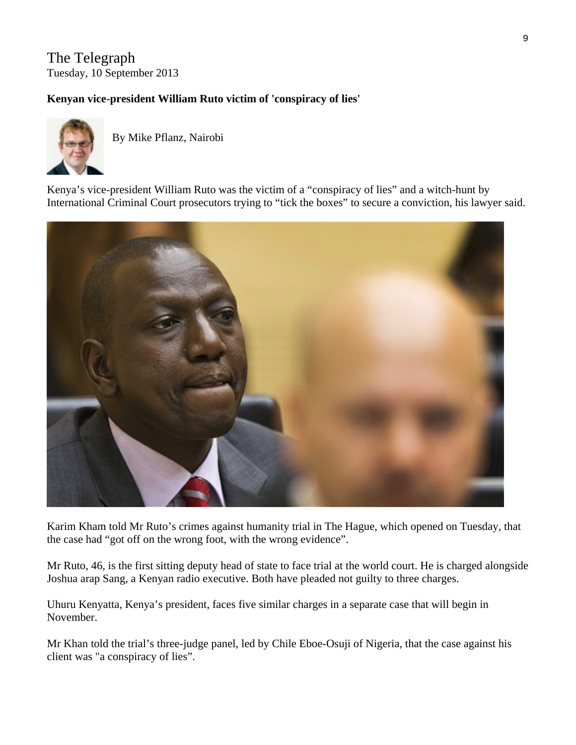# The Telegraph Tuesday, 10 September 2013

## **Kenyan vice-president William Ruto victim of 'conspiracy of lies'**



By Mike Pflanz, Nairobi

Kenya's vice-president William Ruto was the victim of a "conspiracy of lies" and a witch-hunt by International Criminal Court prosecutors trying to "tick the boxes" to secure a conviction, his lawyer said.



Karim Kham told Mr Ruto's crimes against humanity trial in The Hague, which opened on Tuesday, that the case had "got off on the wrong foot, with the wrong evidence".

Mr Ruto, 46, is the first sitting deputy head of state to face trial at the world court. He is charged alongside Joshua arap Sang, a Kenyan radio executive. Both have pleaded not guilty to three charges.

Uhuru Kenyatta, Kenya's president, faces five similar charges in a separate case that will begin in November.

Mr Khan told the trial's three-judge panel, led by Chile Eboe-Osuji of Nigeria, that the case against his client was "a conspiracy of lies".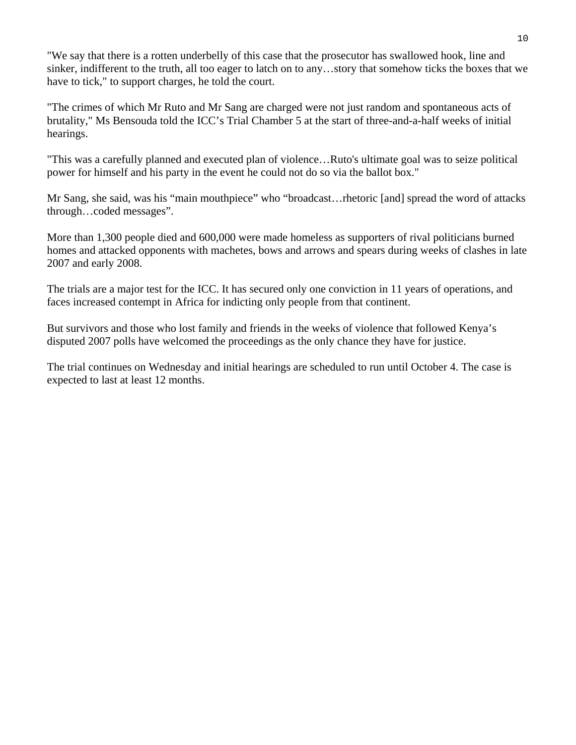"We say that there is a rotten underbelly of this case that the prosecutor has swallowed hook, line and sinker, indifferent to the truth, all too eager to latch on to any…story that somehow ticks the boxes that we have to tick," to support charges, he told the court.

"The crimes of which Mr Ruto and Mr Sang are charged were not just random and spontaneous acts of brutality," Ms Bensouda told the ICC's Trial Chamber 5 at the start of three-and-a-half weeks of initial hearings.

"This was a carefully planned and executed plan of violence…Ruto's ultimate goal was to seize political power for himself and his party in the event he could not do so via the ballot box."

Mr Sang, she said, was his "main mouthpiece" who "broadcast…rhetoric [and] spread the word of attacks through…coded messages".

More than 1,300 people died and 600,000 were made homeless as supporters of rival politicians burned homes and attacked opponents with machetes, bows and arrows and spears during weeks of clashes in late 2007 and early 2008.

The trials are a major test for the ICC. It has secured only one conviction in 11 years of operations, and faces increased contempt in Africa for indicting only people from that continent.

But survivors and those who lost family and friends in the weeks of violence that followed Kenya's disputed 2007 polls have welcomed the proceedings as the only chance they have for justice.

The trial continues on Wednesday and initial hearings are scheduled to run until October 4. The case is expected to last at least 12 months.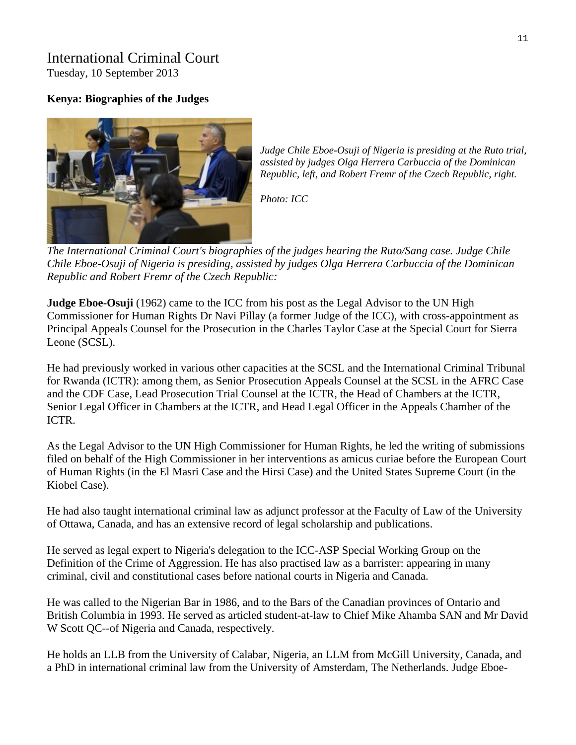# International Criminal Court

Tuesday, 10 September 2013

## **Kenya: Biographies of the Judges**



*Judge Chile Eboe-Osuji of Nigeria is presiding at the Ruto trial, assisted by judges Olga Herrera Carbuccia of the Dominican Republic, left, and Robert Fremr of the Czech Republic, right.* 

*Photo: [ICC](http://www.icc-cpi.int/)*

The International Criminal Court's biographies of the judges hearing the Ruto/Sang case. Judge Chile *Chile Eboe-Osuji of Nigeria is presiding, assisted by judges Olga Herrera Carbuccia of the Dominican Republic and Robert Fremr of the Czech Republic:*

**Judge Eboe-Osuji** (1962) came to the ICC from his post as the Legal Advisor to the UN High Commissioner for Human Rights Dr Navi Pillay (a former Judge of the ICC), with cross-appointment as Principal Appeals Counsel for the Prosecution in the Charles Taylor Case at the Special Court for Sierra Leone (SCSL).

He had previously worked in various other capacities at the SCSL and the International Criminal Tribunal for Rwanda (ICTR): among them, as Senior Prosecution Appeals Counsel at the SCSL in the AFRC Case and the CDF Case, Lead Prosecution Trial Counsel at the ICTR, the Head of Chambers at the ICTR, Senior Legal Officer in Chambers at the ICTR, and Head Legal Officer in the Appeals Chamber of the ICTR.

As the Legal Advisor to the UN High Commissioner for Human Rights, he led the writing of submissions filed on behalf of the High Commissioner in her interventions as amicus curiae before the European Court of Human Rights (in the El Masri Case and the Hirsi Case) and the United States Supreme Court (in the Kiobel Case).

He had also taught international criminal law as adjunct professor at the Faculty of Law of the University of Ottawa, Canada, and has an extensive record of legal scholarship and publications.

He served as legal expert to Nigeria's delegation to the ICC-ASP Special Working Group on the Definition of the Crime of Aggression. He has also practised law as a barrister: appearing in many criminal, civil and constitutional cases before national courts in Nigeria and Canada.

He was called to the Nigerian Bar in 1986, and to the Bars of the Canadian provinces of Ontario and British Columbia in 1993. He served as articled student-at-law to Chief Mike Ahamba SAN and Mr David W Scott QC--of Nigeria and Canada, respectively.

He holds an LLB from the University of Calabar, Nigeria, an LLM from McGill University, Canada, and a PhD in international criminal law from the University of Amsterdam, The Netherlands. Judge Eboe